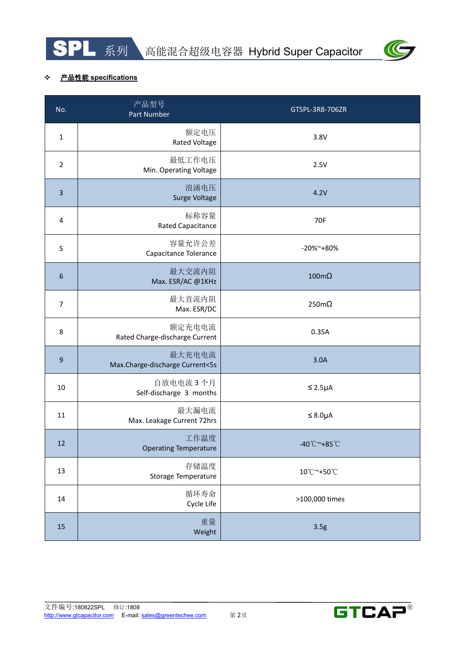



## 产品性能 **specifications**

| 系列<br>产品性能 specifications                 | 高能混合超级电容器 Hybrid Super Capacitor  |
|-------------------------------------------|-----------------------------------|
| 产品型号<br>Part Number                       | GTSPL-3R8-706ZR                   |
| 额定电压<br>Rated Voltage                     | 3.8V                              |
| 最低工作电压<br>Min. Operating Voltage          | 2.5V                              |
| 浪涌电压<br>Surge Voltage                     | 4.2V                              |
| 标称容量<br>Rated Capacitance                 | <b>70F</b>                        |
| 容量允许公差<br>Capacitance Tolerance           | -20%~+80%                         |
| 最大交流内阻<br>Max. ESR/AC @1KHz               | $100 \text{m}\Omega$              |
| 最大直流内阻<br>Max. ESR/DC                     | $250m\Omega$                      |
| 额定充电电流<br>Rated Charge-discharge Current  | 0.35A                             |
| 最大充电电流<br>Max.Charge-discharge Current<5s | 3.0A                              |
| 自放电电流 3个月<br>Self-discharge 3 months      | $\leq 2.5\mu A$                   |
| 最大漏电流<br>Max. Leakage Current 72hrs       | $\leq$ 8.0µA                      |
| 工作温度<br><b>Operating Temperature</b>      | $-40^{\circ}$ C ~+85 $^{\circ}$ C |
| 存储温度<br>Storage Temperature               | 10°C~+50°C                        |
| 循环寿命<br>Cycle Life                        | >100,000 times                    |
| 重量<br>Weight                              | 3.5g                              |